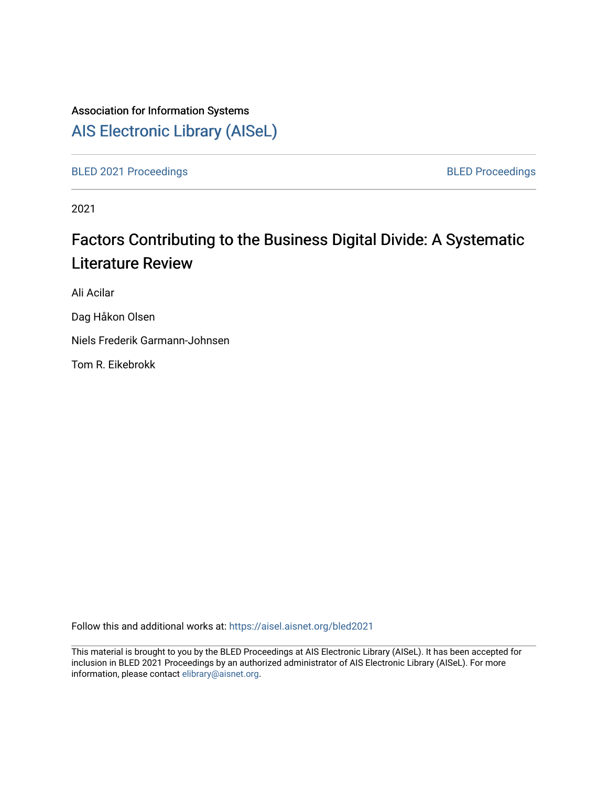# Association for Information Systems

# [AIS Electronic Library \(AISeL\)](https://aisel.aisnet.org/)

[BLED 2021 Proceedings](https://aisel.aisnet.org/bled2021) **BLED Proceedings** 

2021

# Factors Contributing to the Business Digital Divide: A Systematic Literature Review

Ali Acilar

Dag Håkon Olsen

Niels Frederik Garmann-Johnsen

Tom R. Eikebrokk

Follow this and additional works at: [https://aisel.aisnet.org/bled2021](https://aisel.aisnet.org/bled2021?utm_source=aisel.aisnet.org%2Fbled2021%2F17&utm_medium=PDF&utm_campaign=PDFCoverPages) 

This material is brought to you by the BLED Proceedings at AIS Electronic Library (AISeL). It has been accepted for inclusion in BLED 2021 Proceedings by an authorized administrator of AIS Electronic Library (AISeL). For more information, please contact [elibrary@aisnet.org.](mailto:elibrary@aisnet.org%3E)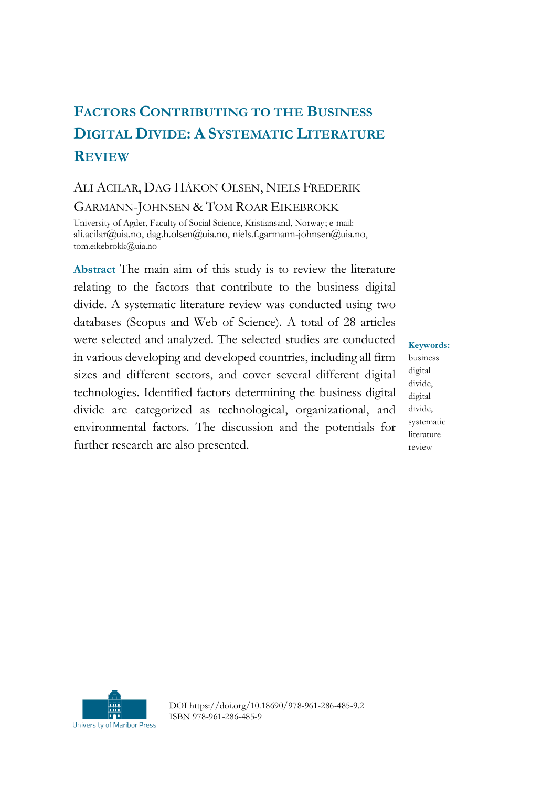# **FACTORS CONTRIBUTING TO THE BUSINESS DIGITAL DIVIDE: A SYSTEMATIC LITERATURE REVIEW**

# ALI ACILAR, DAG HÅKON OLSEN, NIELS FREDERIK GARMANN-JOHNSEN & TOM ROAR EIKEBROKK

University of Agder, Faculty of Social Science, Kristiansand, Norway; e-mail: [ali.acilar@uia.no,](mailto:ali.acilar@uia.no) [dag.h.olsen@uia.no,](mailto:dag.h.olsen@uia.no) [niels.f.garmann-johnsen@uia.no](mailto:niels.f.garmann-johnsen@uia.no), tom.eikebrokk@uia.no

**Abstract** The main aim of this study is to review the literature relating to the factors that contribute to the business digital divide. A systematic literature review was conducted using two databases (Scopus and Web of Science). A total of 28 articles were selected and analyzed. The selected studies are conducted in various developing and developed countries, including all firm sizes and different sectors, and cover several different digital technologies. Identified factors determining the business digital divide are categorized as technological, organizational, and environmental factors. The discussion and the potentials for further research are also presented.

**Keywords:** business digital divide, digital divide, systematic literature review



DOI https://doi.org/10.18690/978-961-286-485-9.2 ISBN 978-961-286-485-9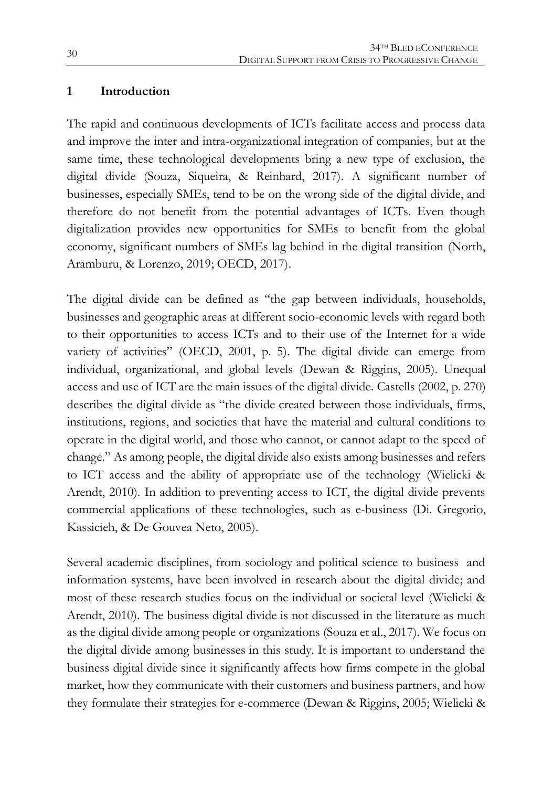#### **1 Introduction**

The rapid and continuous developments of ICTs facilitate access and process data and improve the inter and intra-organizational integration of companies, but at the same time, these technological developments bring a new type of exclusion, the digital divide (Souza, Siqueira, & Reinhard, 2017). A significant number of businesses, especially SMEs, tend to be on the wrong side of the digital divide, and therefore do not benefit from the potential advantages of ICTs. Even though digitalization provides new opportunities for SMEs to benefit from the global economy, significant numbers of SMEs lag behind in the digital transition (North, Aramburu, & Lorenzo, 2019; OECD, 2017).

The digital divide can be defined as "the gap between individuals, households, businesses and geographic areas at different socio-economic levels with regard both to their opportunities to access ICTs and to their use of the Internet for a wide variety of activities" (OECD, 2001, p. 5). The digital divide can emerge from individual, organizational, and global levels (Dewan & Riggins, 2005). Unequal access and use of ICT are the main issues of the digital divide. Castells (2002, p. 270) describes the digital divide as "the divide created between those individuals, firms, institutions, regions, and societies that have the material and cultural conditions to operate in the digital world, and those who cannot, or cannot adapt to the speed of change." As among people, the digital divide also exists among businesses and refers to ICT access and the ability of appropriate use of the technology (Wielicki & Arendt, 2010). In addition to preventing access to ICT, the digital divide prevents commercial applications of these technologies, such as e-business (Di. Gregorio, Kassicieh, & De Gouvea Neto, 2005).

Several academic disciplines, from sociology and political science to business and information systems, have been involved in research about the digital divide; and most of these research studies focus on the individual or societal level (Wielicki & Arendt, 2010). The business digital divide is not discussed in the literature as much as the digital divide among people or organizations (Souza et al., 2017). We focus on the digital divide among businesses in this study. It is important to understand the business digital divide since it significantly affects how firms compete in the global market, how they communicate with their customers and business partners, and how they formulate their strategies for e-commerce (Dewan & Riggins, 2005; Wielicki &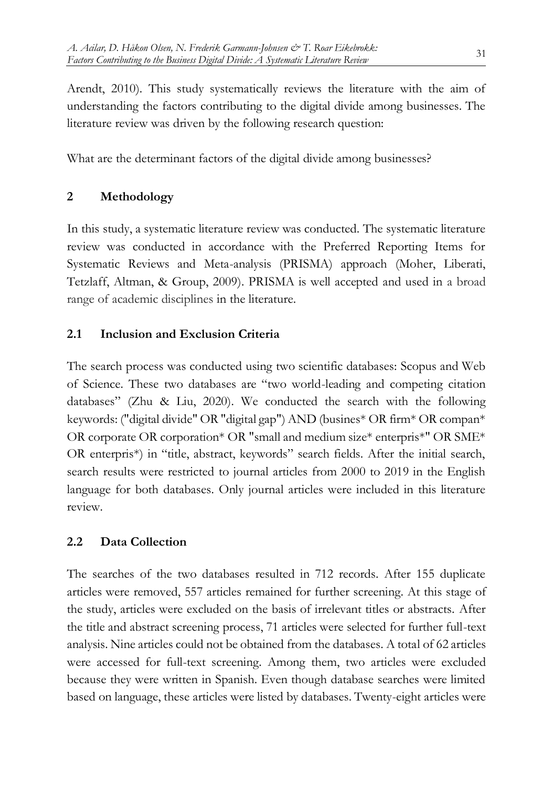Arendt, 2010). This study systematically reviews the literature with the aim of understanding the factors contributing to the digital divide among businesses. The literature review was driven by the following research question:

What are the determinant factors of the digital divide among businesses?

## **2 Methodology**

In this study, a systematic literature review was conducted. The systematic literature review was conducted in accordance with the Preferred Reporting Items for Systematic Reviews and Meta-analysis (PRISMA) approach (Moher, Liberati, Tetzlaff, Altman, & Group, 2009). PRISMA is well accepted and used in a broad range of academic disciplines in the literature.

## **2.1 Inclusion and Exclusion Criteria**

The search process was conducted using two scientific databases: Scopus and Web of Science. These two databases are "two world-leading and competing citation databases" (Zhu & Liu, 2020). We conducted the search with the following keywords: ("digital divide" OR "digital gap") AND (busines\* OR firm\* OR compan\* OR corporate OR corporation\* OR "small and medium size\* enterpris\*" OR SME\* OR enterpris\*) in "title, abstract, keywords" search fields. After the initial search, search results were restricted to journal articles from 2000 to 2019 in the English language for both databases. Only journal articles were included in this literature review.

## **2.2 Data Collection**

The searches of the two databases resulted in 712 records. After 155 duplicate articles were removed, 557 articles remained for further screening. At this stage of the study, articles were excluded on the basis of irrelevant titles or abstracts. After the title and abstract screening process, 71 articles were selected for further full-text analysis. Nine articles could not be obtained from the databases. A total of 62 articles were accessed for full-text screening. Among them, two articles were excluded because they were written in Spanish. Even though database searches were limited based on language, these articles were listed by databases. Twenty-eight articles were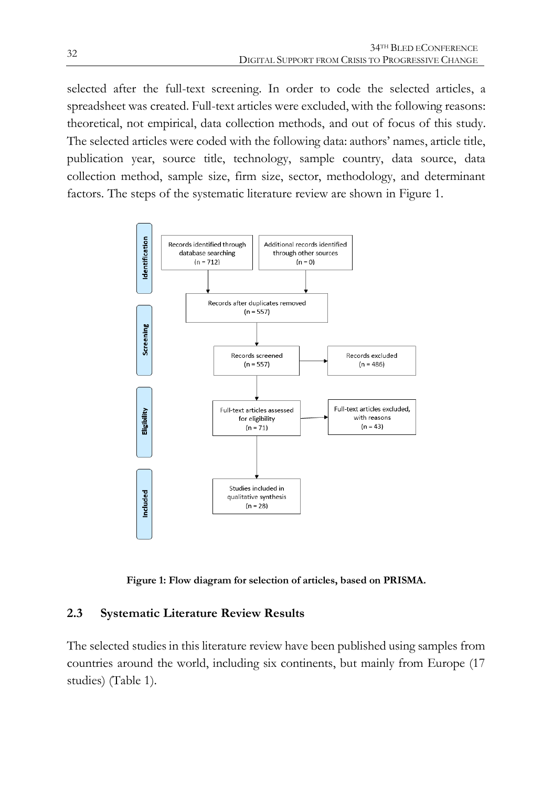selected after the full-text screening. In order to code the selected articles, a spreadsheet was created. Full-text articles were excluded, with the following reasons: theoretical, not empirical, data collection methods, and out of focus of this study. The selected articles were coded with the following data: authors' names, article title, publication year, source title, technology, sample country, data source, data collection method, sample size, firm size, sector, methodology, and determinant factors. The steps of the systematic literature review are shown in Figure 1.



**Figure 1: Flow diagram for selection of articles, based on PRISMA.**

### **2.3 Systematic Literature Review Results**

The selected studies in this literature review have been published using samples from countries around the world, including six continents, but mainly from Europe (17 studies) (Table 1).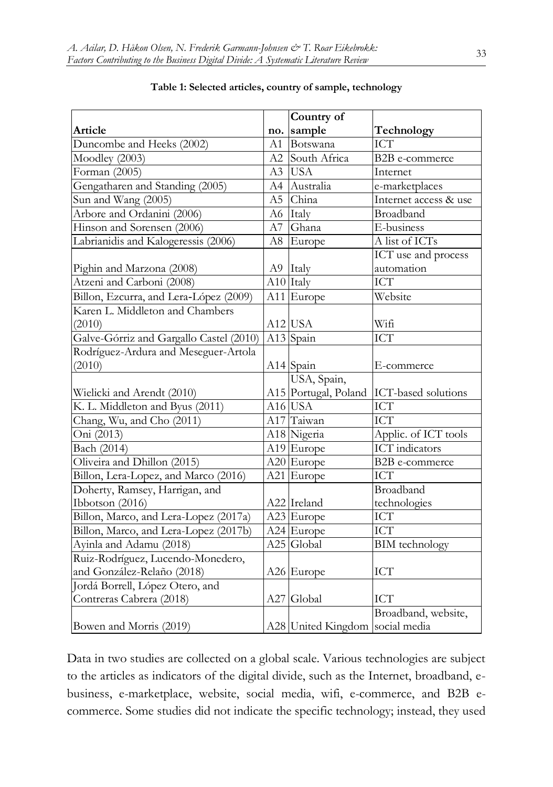|                                         |     | Country of                      |                       |
|-----------------------------------------|-----|---------------------------------|-----------------------|
| Article                                 | no. | sample                          | Technology            |
| Duncombe and Heeks (2002)               | A1  | Botswana                        | <b>ICT</b>            |
| $\overline{\text{Mod}}$ ley (2003)      | A2  | South Africa                    | B2B e-commerce        |
| Forman (2005)                           | A3  | <b>USA</b>                      | Internet              |
| Gengatharen and Standing (2005)         | A4  | Australia                       | e-marketplaces        |
| Sun and Wang (2005)                     | A5  | China                           | Internet access & use |
| Arbore and Ordanini (2006)              | A6  | Italy                           | Broadband             |
| Hinson and Sorensen (2006)              | A7  | Ghana                           | E-business            |
| Labrianidis and Kalogeressis (2006)     | A8  | Europe                          | A list of ICTs        |
|                                         |     |                                 | ICT use and process   |
| Pighin and Marzona (2008)               |     | A9 Italy                        | automation            |
| Atzeni and Carboni (2008)               |     | A10 Italy                       | <b>ICT</b>            |
| Billon, Ezcurra, and Lera-López (2009)  |     | A11 Europe                      | Website               |
| Karen L. Middleton and Chambers         |     |                                 |                       |
| (2010)                                  |     | $A12$ USA                       | Wifi                  |
| Galve-Górriz and Gargallo Castel (2010) |     | A13 Spain                       | $\overline{ICT}$      |
| Rodríguez-Ardura and Meseguer-Artola    |     |                                 |                       |
| (2010)                                  |     | A14 Spain                       | E-commerce            |
|                                         |     | USA, Spain,                     |                       |
| Wielicki and Arendt (2010)              |     | A15 Portugal, Poland            | ICT-based solutions   |
| K. L. Middleton and Byus (2011)         |     | A16 USA                         | <b>ICT</b>            |
| Chang, Wu, and Cho (2011)               |     | A17 Taiwan                      | <b>ICT</b>            |
| Oni (2013)                              |     | A18 Nigeria                     | Applic. of ICT tools  |
| Bach (2014)                             |     | A19 Europe                      | <b>ICT</b> indicators |
| Oliveira and Dhillon (2015)             |     | A20 Europe                      | <b>B2B</b> e-commerce |
| Billon, Lera-Lopez, and Marco (2016)    |     | A21 Europe                      | ICT                   |
| Doherty, Ramsey, Harrigan, and          |     |                                 | Broadband             |
| Ibbotson (2016)                         |     | A22 Ireland                     | technologies          |
| Billon, Marco, and Lera-Lopez (2017a)   |     | A23 Europe                      | $\rm{ICT}$            |
| Billon, Marco, and Lera-Lopez (2017b)   |     | A24 Europe                      | ICT                   |
| Ayinla and Adamu (2018)                 |     | A25 Global                      | <b>BIM</b> technology |
| Ruiz-Rodríguez, Lucendo-Monedero,       |     |                                 |                       |
| and González-Relaño (2018)              |     | A26 Europe                      | ICT                   |
| Jordá Borrell, López Otero, and         |     |                                 |                       |
| Contreras Cabrera (2018)                |     | A27 Global                      | <b>ICT</b>            |
|                                         |     |                                 | Broadband, website,   |
| Bowen and Morris (2019)                 |     | A28 United Kingdom social media |                       |

#### **Table 1: Selected articles, country of sample, technology**

Data in two studies are collected on a global scale. Various technologies are subject to the articles as indicators of the digital divide, such as the Internet, broadband, ebusiness, e-marketplace, website, social media, wifi, e-commerce, and B2B ecommerce. Some studies did not indicate the specific technology; instead, they used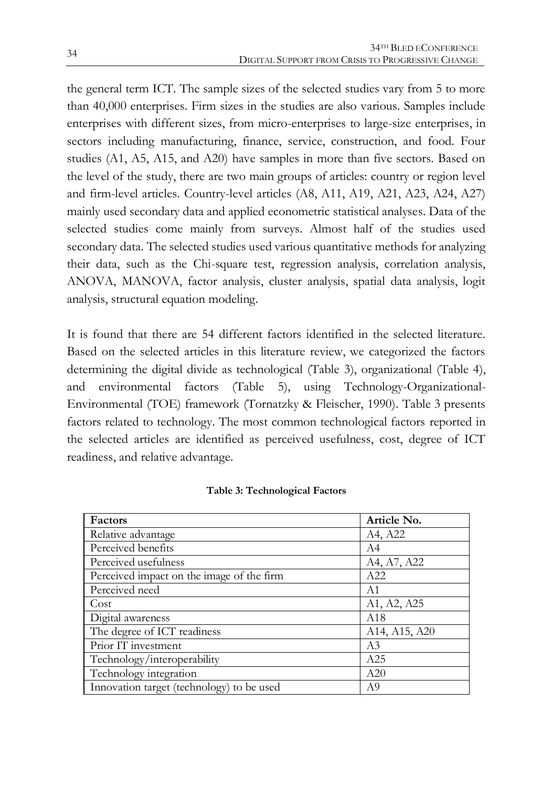the general term ICT. The sample sizes of the selected studies vary from 5 to more than 40,000 enterprises. Firm sizes in the studies are also various. Samples include enterprises with different sizes, from micro-enterprises to large-size enterprises, in sectors including manufacturing, finance, service, construction, and food. Four studies (A1, A5, A15, and A20) have samples in more than five sectors. Based on the level of the study, there are two main groups of articles: country or region level and firm-level articles. Country-level articles (A8, A11, A19, A21, A23, A24, A27) mainly used secondary data and applied econometric statistical analyses. Data of the selected studies come mainly from surveys. Almost half of the studies used secondary data. The selected studies used various quantitative methods for analyzing their data, such as the Chi-square test, regression analysis, correlation analysis, ANOVA, MANOVA, factor analysis, cluster analysis, spatial data analysis, logit analysis, structural equation modeling.

It is found that there are 54 different factors identified in the selected literature. Based on the selected articles in this literature review, we categorized the factors determining the digital divide as technological (Table 3), organizational (Table 4), and environmental factors (Table 5), using Technology-Organizational-Environmental (TOE) framework (Tornatzky & Fleischer, 1990). Table 3 presents factors related to technology. The most common technological factors reported in the selected articles are identified as perceived usefulness, cost, degree of ICT readiness, and relative advantage.

| Factors                                   | Article No.                                         |
|-------------------------------------------|-----------------------------------------------------|
| Relative advantage                        | A4, A22                                             |
| Perceived benefits                        | A4                                                  |
| Perceived usefulness                      | A4, A7, A22                                         |
| Perceived impact on the image of the firm | A22                                                 |
| Perceived need                            | A1                                                  |
| Cost                                      | A1, A2, A25                                         |
| Digital awareness                         | A18                                                 |
| The degree of ICT readiness               | A <sub>14</sub> , A <sub>15</sub> , A <sub>20</sub> |
| Prior IT investment                       | A3                                                  |
| Technology/interoperability               | A25                                                 |
| Technology integration                    | A20                                                 |
| Innovation target (technology) to be used | A9                                                  |

#### **Table 3: Technological Factors**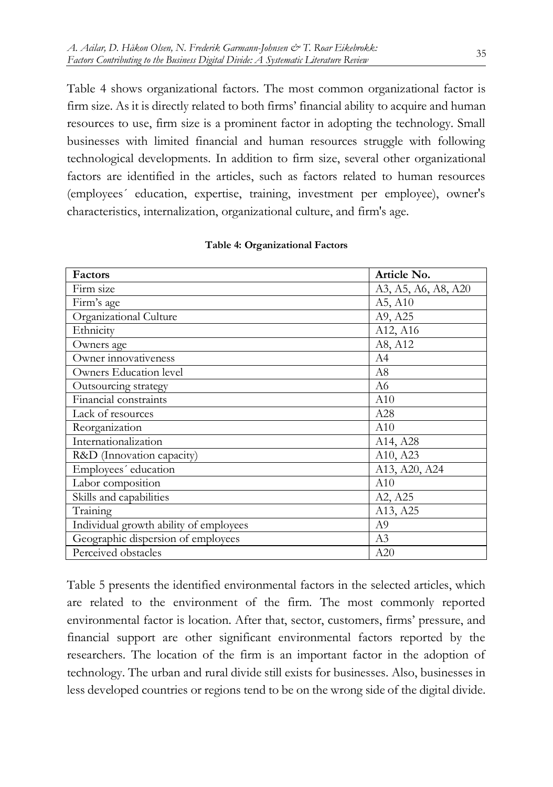Table 4 shows organizational factors. The most common organizational factor is firm size. As it is directly related to both firms' financial ability to acquire and human resources to use, firm size is a prominent factor in adopting the technology. Small businesses with limited financial and human resources struggle with following technological developments. In addition to firm size, several other organizational factors are identified in the articles, such as factors related to human resources (employees´ education, expertise, training, investment per employee), owner's characteristics, internalization, organizational culture, and firm's age.

| Factors                                | Article No.         |
|----------------------------------------|---------------------|
| Firm size                              | A3, A5, A6, A8, A20 |
| Firm's age                             | A5, A10             |
| Organizational Culture                 | A9, A25             |
| Ethnicity                              | A12, A16            |
| Owners age                             | A8, A12             |
| Owner innovativeness                   | A4                  |
| Owners Education level                 | A8                  |
| Outsourcing strategy                   | A6                  |
| Financial constraints                  | A10                 |
| Lack of resources                      | A28                 |
| Reorganization                         | A10                 |
| Internationalization                   | A14, A28            |
| R&D (Innovation capacity)              | A10, A23            |
| Employees' education                   | A13, A20, A24       |
| Labor composition                      | A10                 |
| Skills and capabilities                | A2, A25             |
| Training                               | A13, A25            |
| Individual growth ability of employees | A <sub>9</sub>      |
| Geographic dispersion of employees     | A3                  |
| Perceived obstacles                    | A20                 |

#### **Table 4: Organizational Factors**

Table 5 presents the identified environmental factors in the selected articles, which are related to the environment of the firm. The most commonly reported environmental factor is location. After that, sector, customers, firms' pressure, and financial support are other significant environmental factors reported by the researchers. The location of the firm is an important factor in the adoption of technology. The urban and rural divide still exists for businesses. Also, businesses in less developed countries or regions tend to be on the wrong side of the digital divide.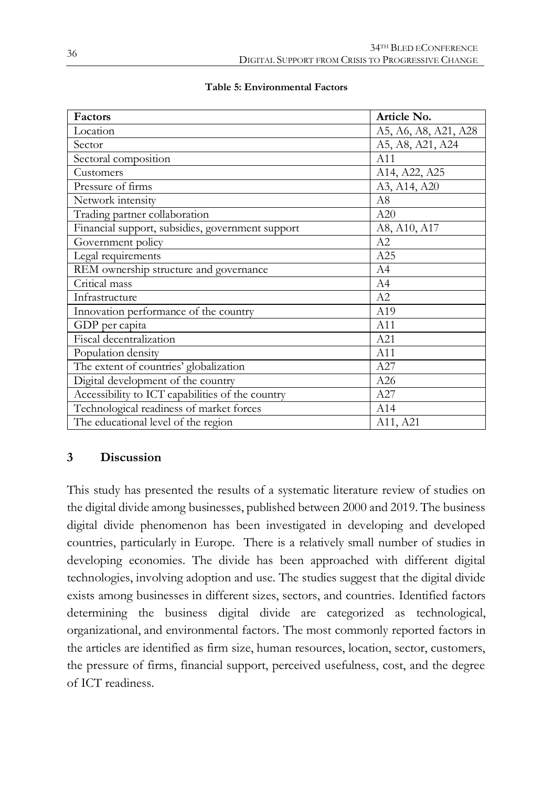| Factors                                          | Article No.          |
|--------------------------------------------------|----------------------|
| Location                                         | A5, A6, A8, A21, A28 |
| Sector                                           | A5, A8, A21, A24     |
| Sectoral composition                             | A11                  |
| Customers                                        | A14, A22, A25        |
| Pressure of firms                                | A3, A14, A20         |
| Network intensity                                | A8                   |
| Trading partner collaboration                    | A20                  |
| Financial support, subsidies, government support | A8, A10, A17         |
| Government policy                                | A2                   |
| Legal requirements                               | A25                  |
| REM ownership structure and governance           | A4                   |
| Critical mass                                    | A4                   |
| Infrastructure                                   | A2                   |
| Innovation performance of the country            | A19                  |
| GDP per capita                                   | A11                  |
| Fiscal decentralization                          | A21                  |
| Population density                               | A11                  |
| The extent of countries' globalization           | A27                  |
| Digital development of the country               | A26                  |
| Accessibility to ICT capabilities of the country | A27                  |
| Technological readiness of market forces         | A14                  |
| The educational level of the region              | A11, A21             |

#### **Table 5: Environmental Factors**

## **3 Discussion**

This study has presented the results of a systematic literature review of studies on the digital divide among businesses, published between 2000 and 2019. The business digital divide phenomenon has been investigated in developing and developed countries, particularly in Europe. There is a relatively small number of studies in developing economies. The divide has been approached with different digital technologies, involving adoption and use. The studies suggest that the digital divide exists among businesses in different sizes, sectors, and countries. Identified factors determining the business digital divide are categorized as technological, organizational, and environmental factors. The most commonly reported factors in the articles are identified as firm size, human resources, location, sector, customers, the pressure of firms, financial support, perceived usefulness, cost, and the degree of ICT readiness.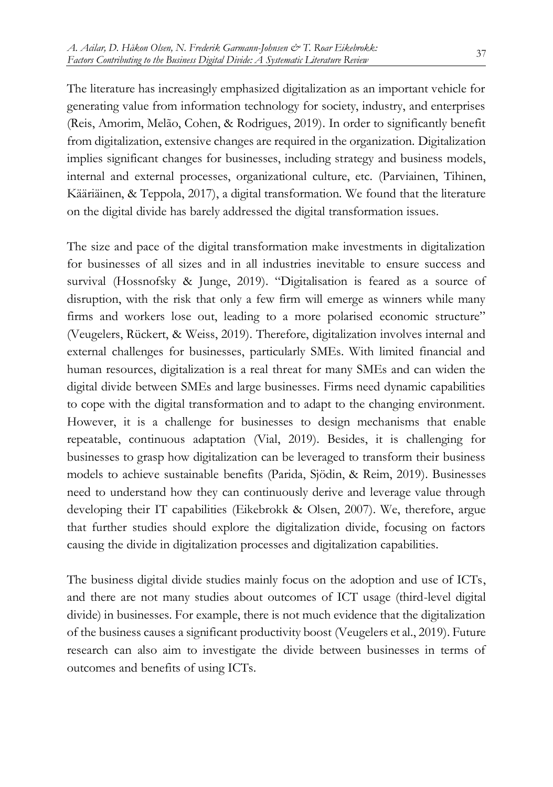The literature has increasingly emphasized digitalization as an important vehicle for generating value from information technology for society, industry, and enterprises (Reis, Amorim, Melão, Cohen, & Rodrigues, 2019). In order to significantly benefit from digitalization, extensive changes are required in the organization. Digitalization implies significant changes for businesses, including strategy and business models, internal and external processes, organizational culture, etc. (Parviainen, Tihinen, Kääriäinen, & Teppola, 2017), a digital transformation. We found that the literature on the digital divide has barely addressed the digital transformation issues.

The size and pace of the digital transformation make investments in digitalization for businesses of all sizes and in all industries inevitable to ensure success and survival (Hossnofsky & Junge, 2019). "Digitalisation is feared as a source of disruption, with the risk that only a few firm will emerge as winners while many firms and workers lose out, leading to a more polarised economic structure" (Veugelers, Rückert, & Weiss, 2019). Therefore, digitalization involves internal and external challenges for businesses, particularly SMEs. With limited financial and human resources, digitalization is a real threat for many SMEs and can widen the digital divide between SMEs and large businesses. Firms need dynamic capabilities to cope with the digital transformation and to adapt to the changing environment. However, it is a challenge for businesses to design mechanisms that enable repeatable, continuous adaptation (Vial, 2019). Besides, it is challenging for businesses to grasp how digitalization can be leveraged to transform their business models to achieve sustainable benefits (Parida, Sjödin, & Reim, 2019). Businesses need to understand how they can continuously derive and leverage value through developing their IT capabilities (Eikebrokk & Olsen, 2007). We, therefore, argue that further studies should explore the digitalization divide, focusing on factors causing the divide in digitalization processes and digitalization capabilities.

The business digital divide studies mainly focus on the adoption and use of ICTs, and there are not many studies about outcomes of ICT usage (third-level digital divide) in businesses. For example, there is not much evidence that the digitalization of the business causes a significant productivity boost (Veugelers et al., 2019). Future research can also aim to investigate the divide between businesses in terms of outcomes and benefits of using ICTs.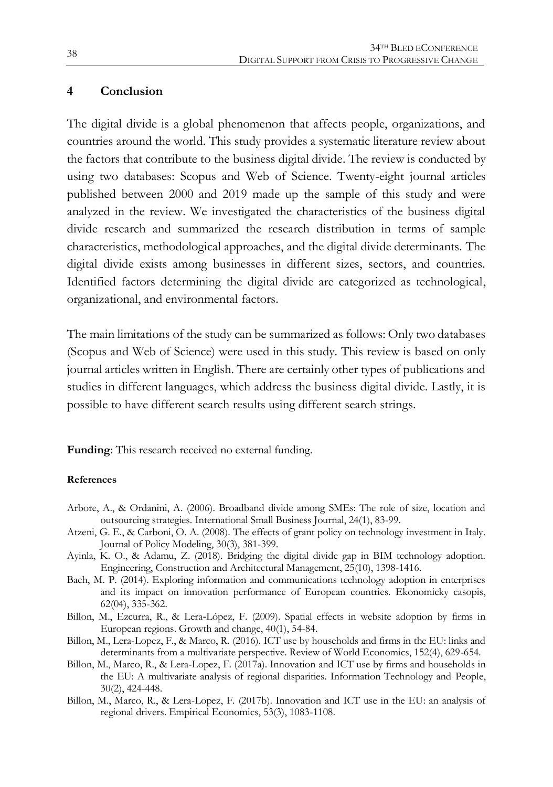### **4 Conclusion**

The digital divide is a global phenomenon that affects people, organizations, and countries around the world. This study provides a systematic literature review about the factors that contribute to the business digital divide. The review is conducted by using two databases: Scopus and Web of Science. Twenty-eight journal articles published between 2000 and 2019 made up the sample of this study and were analyzed in the review. We investigated the characteristics of the business digital divide research and summarized the research distribution in terms of sample characteristics, methodological approaches, and the digital divide determinants. The digital divide exists among businesses in different sizes, sectors, and countries. Identified factors determining the digital divide are categorized as technological, organizational, and environmental factors.

The main limitations of the study can be summarized as follows: Only two databases (Scopus and Web of Science) were used in this study. This review is based on only journal articles written in English. There are certainly other types of publications and studies in different languages, which address the business digital divide. Lastly, it is possible to have different search results using different search strings.

**Funding**: This research received no external funding.

#### **References**

- Arbore, A., & Ordanini, A. (2006). Broadband divide among SMEs: The role of size, location and outsourcing strategies. International Small Business Journal, 24(1), 83-99.
- Atzeni, G. E., & Carboni, O. A. (2008). The effects of grant policy on technology investment in Italy. Journal of Policy Modeling, 30(3), 381-399.
- Ayinla, K. O., & Adamu, Z. (2018). Bridging the digital divide gap in BIM technology adoption. Engineering, Construction and Architectural Management, 25(10), 1398-1416.
- Bach, M. P. (2014). Exploring information and communications technology adoption in enterprises and its impact on innovation performance of European countries. Ekonomicky casopis, 62(04), 335-362.
- Billon, M., Ezcurra, R., & Lera‐López, F. (2009). Spatial effects in website adoption by firms in European regions. Growth and change, 40(1), 54-84.
- Billon, M., Lera-Lopez, F., & Marco, R. (2016). ICT use by households and firms in the EU: links and determinants from a multivariate perspective. Review of World Economics, 152(4), 629-654.
- Billon, M., Marco, R., & Lera-Lopez, F. (2017a). Innovation and ICT use by firms and households in the EU: A multivariate analysis of regional disparities. Information Technology and People, 30(2), 424-448.
- Billon, M., Marco, R., & Lera-Lopez, F. (2017b). Innovation and ICT use in the EU: an analysis of regional drivers. Empirical Economics, 53(3), 1083-1108.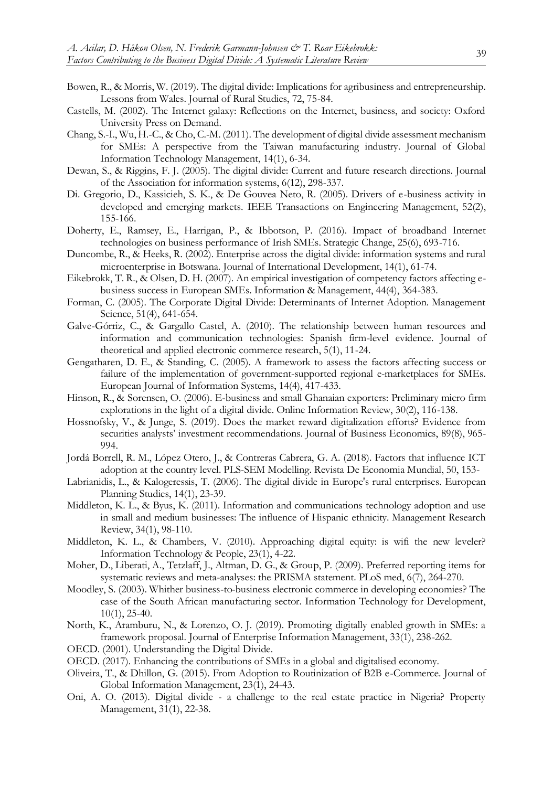- Bowen, R., & Morris, W. (2019). The digital divide: Implications for agribusiness and entrepreneurship. Lessons from Wales. Journal of Rural Studies, 72, 75-84.
- Castells, M. (2002). The Internet galaxy: Reflections on the Internet, business, and society: Oxford University Press on Demand.
- Chang, S.-I., Wu, H.-C., & Cho, C.-M. (2011). The development of digital divide assessment mechanism for SMEs: A perspective from the Taiwan manufacturing industry. Journal of Global Information Technology Management, 14(1), 6-34.
- Dewan, S., & Riggins, F. J. (2005). The digital divide: Current and future research directions. Journal of the Association for information systems, 6(12), 298-337.
- Di. Gregorio, D., Kassicieh, S. K., & De Gouvea Neto, R. (2005). Drivers of e-business activity in developed and emerging markets. IEEE Transactions on Engineering Management, 52(2), 155-166.
- Doherty, E., Ramsey, E., Harrigan, P., & Ibbotson, P. (2016). Impact of broadband Internet technologies on business performance of Irish SMEs. Strategic Change, 25(6), 693-716.
- Duncombe, R., & Heeks, R. (2002). Enterprise across the digital divide: information systems and rural microenterprise in Botswana. Journal of International Development, 14(1), 61-74.
- Eikebrokk, T. R., & Olsen, D. H. (2007). An empirical investigation of competency factors affecting ebusiness success in European SMEs. Information & Management, 44(4), 364-383.
- Forman, C. (2005). The Corporate Digital Divide: Determinants of Internet Adoption. Management Science, 51(4), 641-654.
- Galve-Górriz, C., & Gargallo Castel, A. (2010). The relationship between human resources and information and communication technologies: Spanish firm-level evidence. Journal of theoretical and applied electronic commerce research, 5(1), 11-24.
- Gengatharen, D. E., & Standing, C. (2005). A framework to assess the factors affecting success or failure of the implementation of government-supported regional e-marketplaces for SMEs. European Journal of Information Systems, 14(4), 417-433.
- Hinson, R., & Sorensen, O. (2006). E-business and small Ghanaian exporters: Preliminary micro firm explorations in the light of a digital divide. Online Information Review, 30(2), 116-138.
- Hossnofsky, V., & Junge, S. (2019). Does the market reward digitalization efforts? Evidence from securities analysts' investment recommendations. Journal of Business Economics, 89(8), 965- 994.
- Jordá Borrell, R. M., López Otero, J., & Contreras Cabrera, G. A. (2018). Factors that influence ICT adoption at the country level. PLS-SEM Modelling. Revista De Economia Mundial, 50, 153-
- Labrianidis, L., & Kalogeressis, T. (2006). The digital divide in Europe's rural enterprises. European Planning Studies, 14(1), 23-39.
- Middleton, K. L., & Byus, K. (2011). Information and communications technology adoption and use in small and medium businesses: The influence of Hispanic ethnicity. Management Research Review, 34(1), 98-110.
- Middleton, K. L., & Chambers, V. (2010). Approaching digital equity: is wifi the new leveler? Information Technology & People, 23(1), 4-22.
- Moher, D., Liberati, A., Tetzlaff, J., Altman, D. G., & Group, P. (2009). Preferred reporting items for systematic reviews and meta-analyses: the PRISMA statement. PLoS med, 6(7), 264-270.
- Moodley, S. (2003). Whither business-to-business electronic commerce in developing economies? The case of the South African manufacturing sector. Information Technology for Development, 10(1), 25-40.
- North, K., Aramburu, N., & Lorenzo, O. J. (2019). Promoting digitally enabled growth in SMEs: a framework proposal. Journal of Enterprise Information Management, 33(1), 238-262.
- OECD. (2001). Understanding the Digital Divide.
- OECD. (2017). Enhancing the contributions of SMEs in a global and digitalised economy.
- Oliveira, T., & Dhillon, G. (2015). From Adoption to Routinization of B2B e-Commerce. Journal of Global Information Management, 23(1), 24-43.
- Oni, A. O. (2013). Digital divide a challenge to the real estate practice in Nigeria? Property Management, 31(1), 22-38.